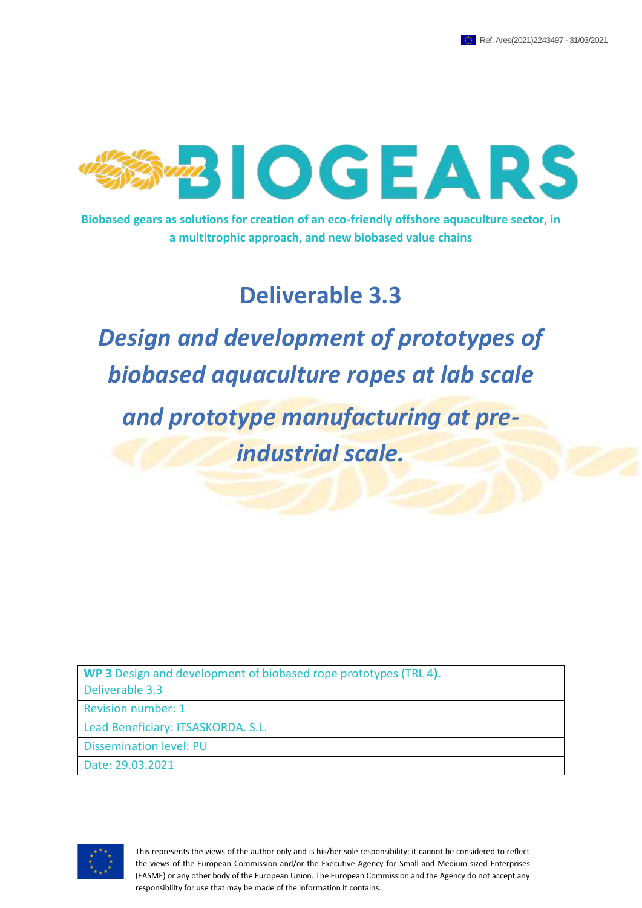

**Biobased gears as solutions for creation of an eco-friendly offshore aquaculture sector, in a multitrophic approach, and new biobased value chains**

# **Deliverable 3.3**

*Design and development of prototypes of biobased aquaculture ropes at lab scale*

*and prototype manufacturing at preindustrial scale.*

**WP 3** Design and development of biobased rope prototypes (TRL 4**).**

Deliverable 3.3

Revision number: 1

Lead Beneficiary: ITSASKORDA. S.L.

Dissemination level: PU

Date: 29.03.2021



This represents the views of the author only and is his/her sole responsibility; it cannot be considered to reflect the views of the European Commission and/or the Executive Agency for Small and Medium-sized Enterprises (EASME) or any other body of the European Union. The European Commission and the Agency do not accept any responsibility for use that may be made of the information it contains.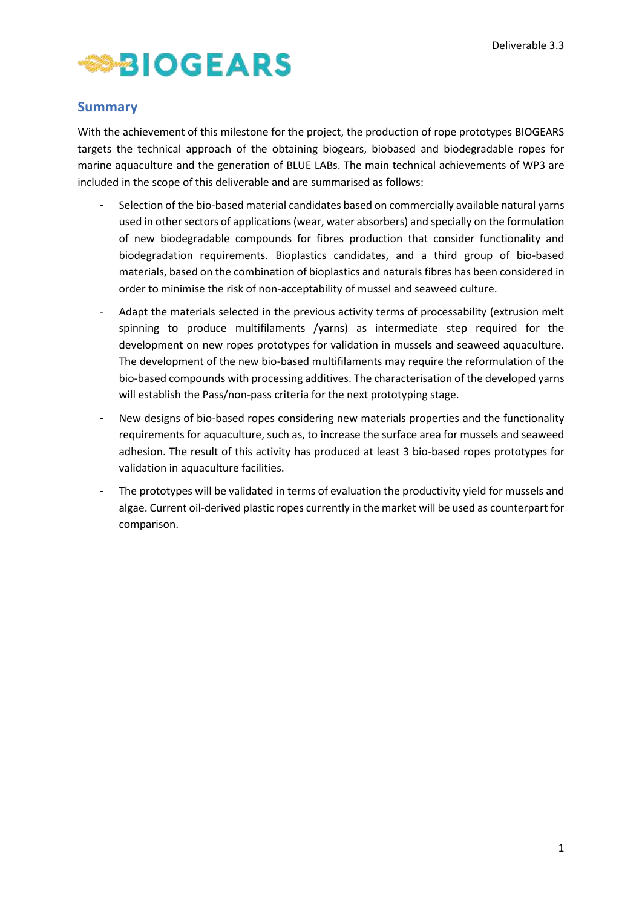

## <span id="page-1-0"></span>**Summary**

With the achievement of this milestone for the project, the production of rope prototypes BIOGEARS targets the technical approach of the obtaining biogears, biobased and biodegradable ropes for marine aquaculture and the generation of BLUE LABs. The main technical achievements of WP3 are included in the scope of this deliverable and are summarised as follows:

- Selection of the bio-based material candidates based on commercially available natural yarns used in other sectors of applications (wear, water absorbers) and specially on the formulation of new biodegradable compounds for fibres production that consider functionality and biodegradation requirements. Bioplastics candidates, and a third group of bio-based materials, based on the combination of bioplastics and naturals fibres has been considered in order to minimise the risk of non-acceptability of mussel and seaweed culture.
- Adapt the materials selected in the previous activity terms of processability (extrusion melt spinning to produce multifilaments /yarns) as intermediate step required for the development on new ropes prototypes for validation in mussels and seaweed aquaculture. The development of the new bio-based multifilaments may require the reformulation of the bio-based compounds with processing additives. The characterisation of the developed yarns will establish the Pass/non-pass criteria for the next prototyping stage.
- New designs of bio-based ropes considering new materials properties and the functionality requirements for aquaculture, such as, to increase the surface area for mussels and seaweed adhesion. The result of this activity has produced at least 3 bio-based ropes prototypes for validation in aquaculture facilities.
- The prototypes will be validated in terms of evaluation the productivity yield for mussels and algae. Current oil-derived plastic ropes currently in the market will be used as counterpart for comparison.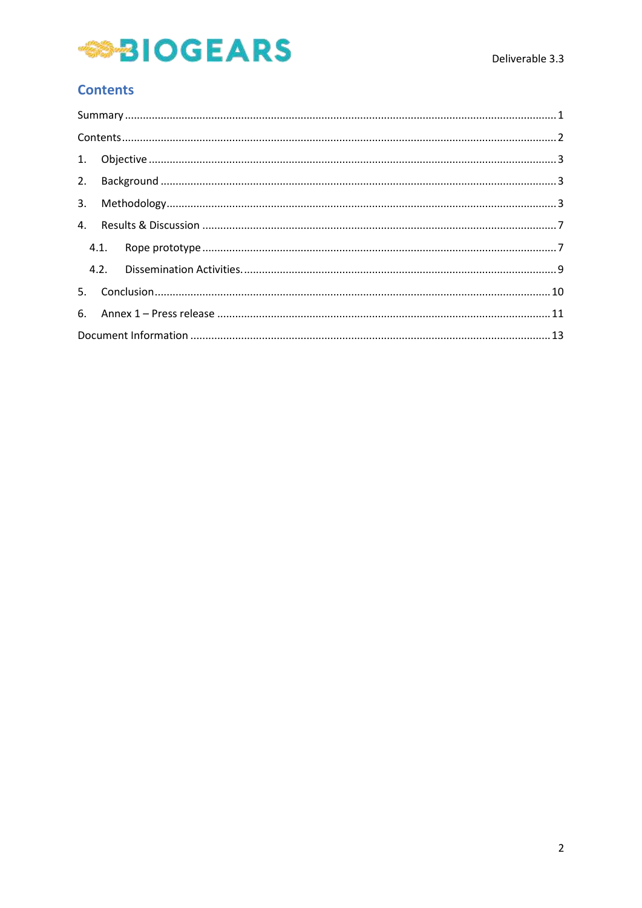# **SIOGEARS**

# <span id="page-2-0"></span>**Contents**

| 4.1. |  |  |  |  |  |
|------|--|--|--|--|--|
|      |  |  |  |  |  |
|      |  |  |  |  |  |
|      |  |  |  |  |  |
|      |  |  |  |  |  |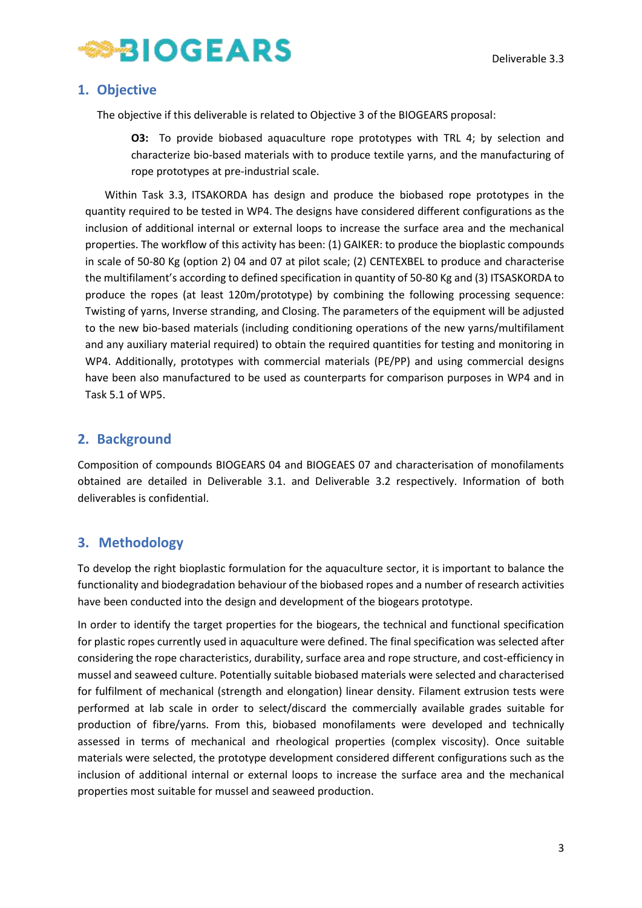

## <span id="page-3-0"></span>**1. Objective**

The objective if this deliverable is related to Objective 3 of the BIOGEARS proposal:

**O3:** To provide biobased aquaculture rope prototypes with TRL 4; by selection and characterize bio-based materials with to produce textile yarns, and the manufacturing of rope prototypes at pre-industrial scale.

Within Task 3.3, ITSAKORDA has design and produce the biobased rope prototypes in the quantity required to be tested in WP4. The designs have considered different configurations as the inclusion of additional internal or external loops to increase the surface area and the mechanical properties. The workflow of this activity has been: (1) GAIKER: to produce the bioplastic compounds in scale of 50-80 Kg (option 2) 04 and 07 at pilot scale; (2) CENTEXBEL to produce and characterise the multifilament's according to defined specification in quantity of 50-80 Kg and (3) ITSASKORDA to produce the ropes (at least 120m/prototype) by combining the following processing sequence: Twisting of yarns, Inverse stranding, and Closing. The parameters of the equipment will be adjusted to the new bio-based materials (including conditioning operations of the new yarns/multifilament and any auxiliary material required) to obtain the required quantities for testing and monitoring in WP4. Additionally, prototypes with commercial materials (PE/PP) and using commercial designs have been also manufactured to be used as counterparts for comparison purposes in WP4 and in Task 5.1 of WP5.

# <span id="page-3-1"></span>**2. Background**

Composition of compounds BIOGEARS 04 and BIOGEAES 07 and characterisation of monofilaments obtained are detailed in Deliverable 3.1. and Deliverable 3.2 respectively. Information of both deliverables is confidential.

# <span id="page-3-2"></span>**3. Methodology**

To develop the right bioplastic formulation for the aquaculture sector, it is important to balance the functionality and biodegradation behaviour of the biobased ropes and a number of research activities have been conducted into the design and development of the biogears prototype.

In order to identify the target properties for the biogears, the technical and functional specification for plastic ropes currently used in aquaculture were defined. The final specification was selected after considering the rope characteristics, durability, surface area and rope structure, and cost-efficiency in mussel and seaweed culture. Potentially suitable biobased materials were selected and characterised for fulfilment of mechanical (strength and elongation) linear density. Filament extrusion tests were performed at lab scale in order to select/discard the commercially available grades suitable for production of fibre/yarns. From this, biobased monofilaments were developed and technically assessed in terms of mechanical and rheological properties (complex viscosity). Once suitable materials were selected, the prototype development considered different configurations such as the inclusion of additional internal or external loops to increase the surface area and the mechanical properties most suitable for mussel and seaweed production.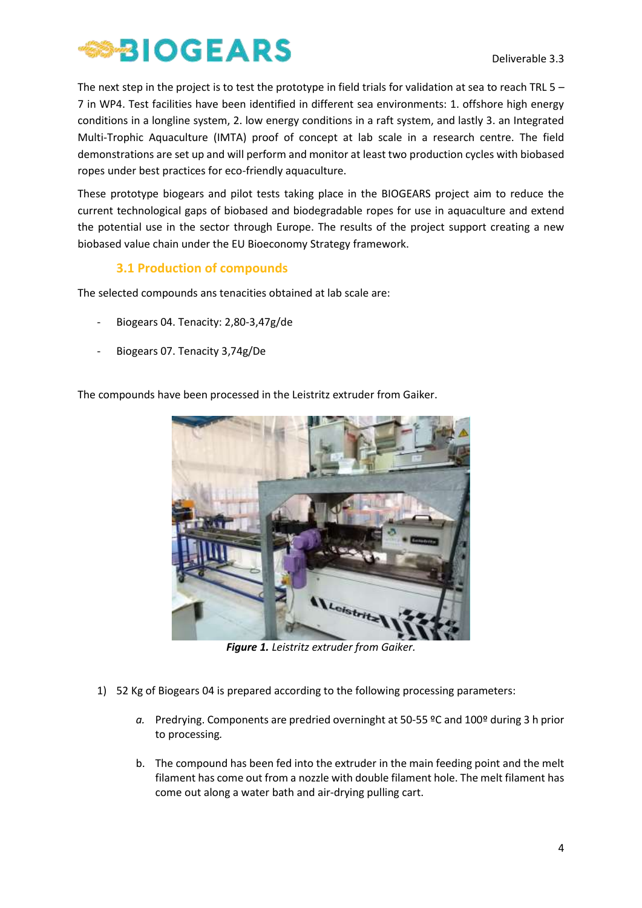

The next step in the project is to test the prototype in field trials for validation at sea to reach TRL  $5 -$ 7 in WP4. Test facilities have been identified in different sea environments: 1. offshore high energy conditions in a longline system, 2. low energy conditions in a raft system, and lastly 3. an Integrated Multi-Trophic Aquaculture (IMTA) proof of concept at lab scale in a research centre. The field demonstrations are set up and will perform and monitor at least two production cycles with biobased ropes under best practices for eco-friendly aquaculture.

These prototype biogears and pilot tests taking place in the BIOGEARS project aim to reduce the current technological gaps of biobased and biodegradable ropes for use in aquaculture and extend the potential use in the sector through Europe. The results of the project support creating a new biobased value chain under the EU Bioeconomy Strategy framework.

## **3.1 Production of compounds**

The selected compounds ans tenacities obtained at lab scale are:

- Biogears 04. Tenacity: 2,80-3,47g/de
- Biogears 07. Tenacity 3,74g/De

The compounds have been processed in the Leistritz extruder from Gaiker.



*Figure 1. Leistritz extruder from Gaiker.*

- 1) 52 Kg of Biogears 04 is prepared according to the following processing parameters:
	- *a.* Predrying. Components are predried overninght at 50-55 ºC and 100º during 3 h prior to processing*.*
	- b. The compound has been fed into the extruder in the main feeding point and the melt filament has come out from a nozzle with double filament hole. The melt filament has come out along a water bath and air-drying pulling cart.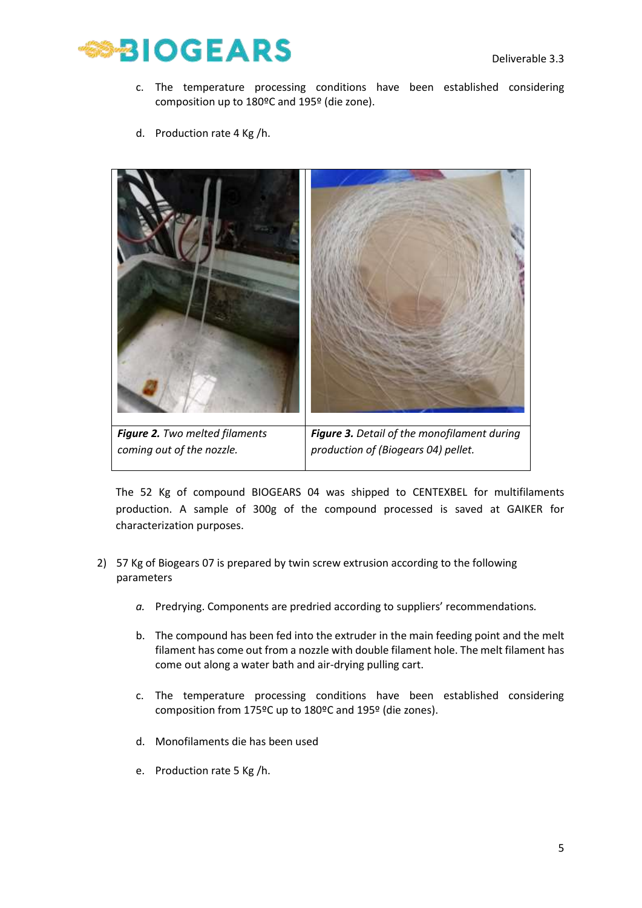

- c. The temperature processing conditions have been established considering composition up to 180ºC and 195º (die zone).
- d. Production rate 4 Kg /h.



The 52 Kg of compound BIOGEARS 04 was shipped to CENTEXBEL for multifilaments production. A sample of 300g of the compound processed is saved at GAIKER for characterization purposes.

- 2) 57 Kg of Biogears 07 is prepared by twin screw extrusion according to the following parameters
	- *a.* Predrying. Components are predried according to suppliers' recommendations*.*
	- b. The compound has been fed into the extruder in the main feeding point and the melt filament has come out from a nozzle with double filament hole. The melt filament has come out along a water bath and air-drying pulling cart.
	- c. The temperature processing conditions have been established considering composition from 175ºC up to 180ºC and 195º (die zones).
	- d. Monofilaments die has been used
	- e. Production rate 5 Kg /h.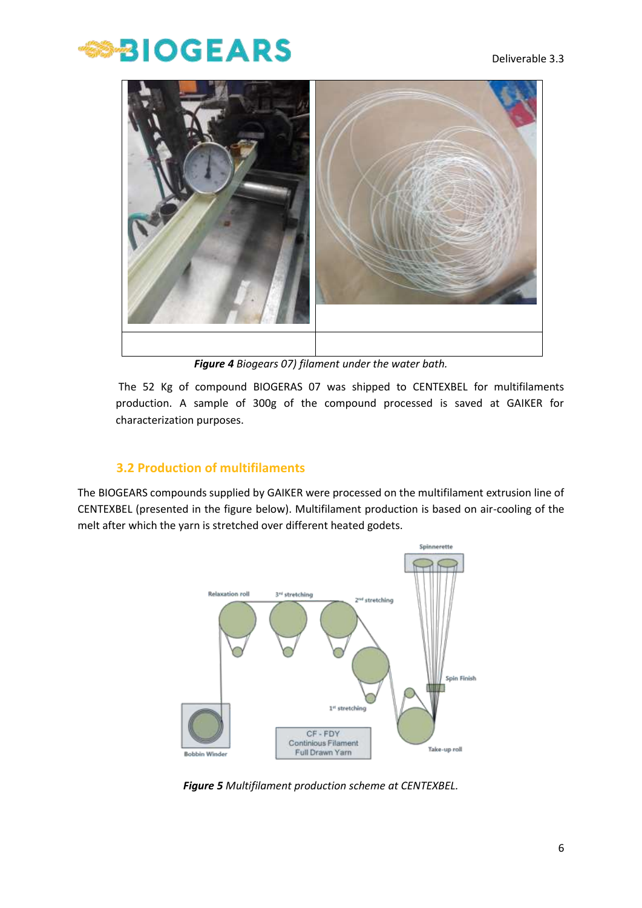# **BIOGEARS**



*Figure 4 Biogears 07) filament under the water bath.*

The 52 Kg of compound BIOGERAS 07 was shipped to CENTEXBEL for multifilaments production. A sample of 300g of the compound processed is saved at GAIKER for characterization purposes.

## **3.2 Production of multifilaments**

The BIOGEARS compounds supplied by GAIKER were processed on the multifilament extrusion line of CENTEXBEL (presented in the figure below). Multifilament production is based on air-cooling of the melt after which the yarn is stretched over different heated godets.



*Figure 5 Multifilament production scheme at CENTEXBEL.*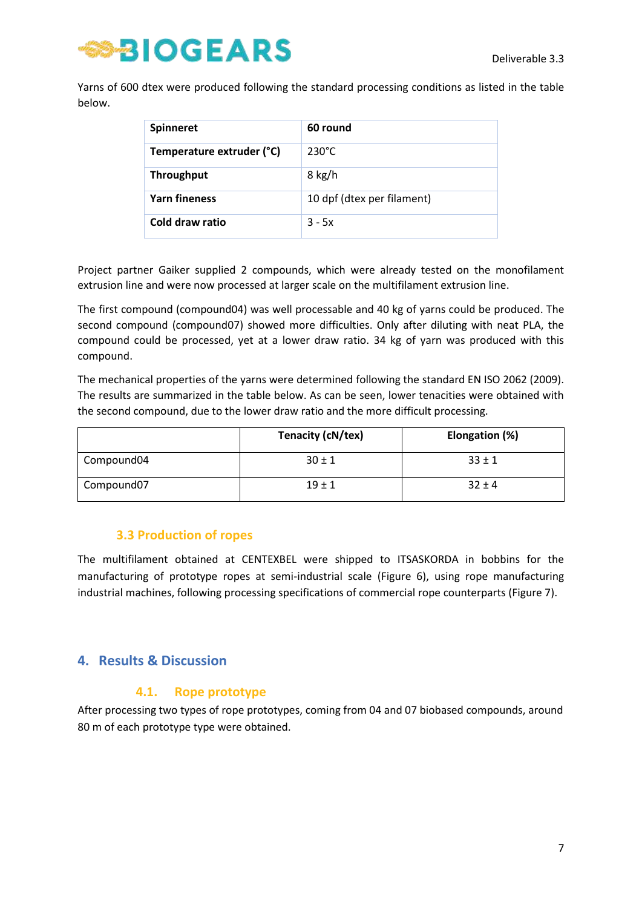

Yarns of 600 dtex were produced following the standard processing conditions as listed in the table below.

| <b>Spinneret</b>          | 60 round                   |
|---------------------------|----------------------------|
| Temperature extruder (°C) | $230^{\circ}$ C            |
| <b>Throughput</b>         | 8 kg/h                     |
| <b>Yarn fineness</b>      | 10 dpf (dtex per filament) |
| Cold draw ratio           | $3 - 5x$                   |

Project partner Gaiker supplied 2 compounds, which were already tested on the monofilament extrusion line and were now processed at larger scale on the multifilament extrusion line.

The first compound (compound04) was well processable and 40 kg of yarns could be produced. The second compound (compound07) showed more difficulties. Only after diluting with neat PLA, the compound could be processed, yet at a lower draw ratio. 34 kg of yarn was produced with this compound.

The mechanical properties of the yarns were determined following the standard EN ISO 2062 (2009). The results are summarized in the table below. As can be seen, lower tenacities were obtained with the second compound, due to the lower draw ratio and the more difficult processing.

|            | Tenacity (cN/tex) | Elongation (%) |
|------------|-------------------|----------------|
| Compound04 | $30 \pm 1$        | $33 \pm 1$     |
| Compound07 | $19 \pm 1$        | $32 \pm 4$     |

#### **3.3 Production of ropes**

The multifilament obtained at CENTEXBEL were shipped to ITSASKORDA in bobbins for the manufacturing of prototype ropes at semi-industrial scale (Figure 6), using rope manufacturing industrial machines, following processing specifications of commercial rope counterparts (Figure 7).

## <span id="page-7-0"></span>**4. Results & Discussion**

#### **4.1. Rope prototype**

<span id="page-7-1"></span>After processing two types of rope prototypes, coming from 04 and 07 biobased compounds, around 80 m of each prototype type were obtained.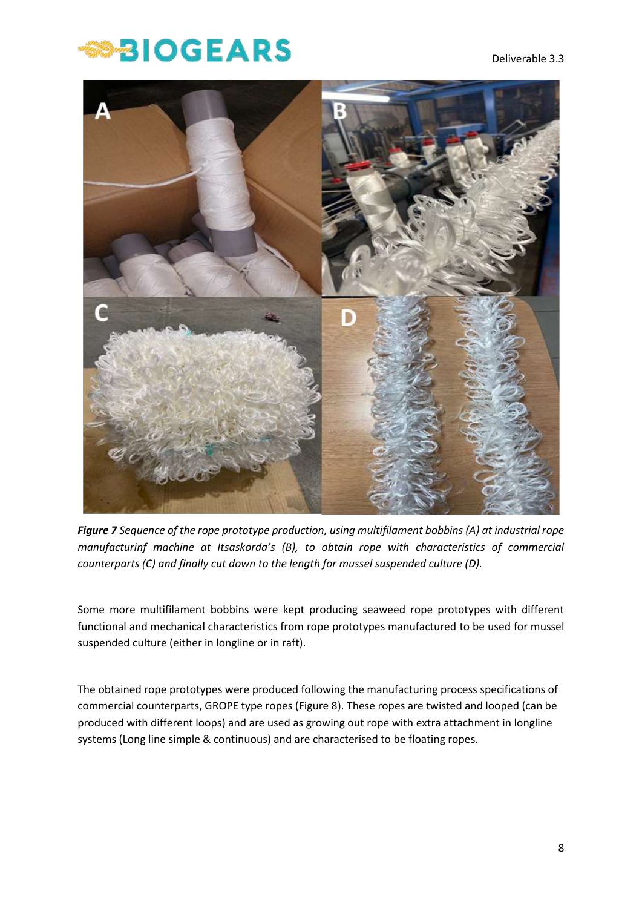# **BIOGEARS**



*Figure 7 Sequence of the rope prototype production, using multifilament bobbins (A) at industrial rope manufacturinf machine at Itsaskorda's (B), to obtain rope with characteristics of commercial counterparts (C) and finally cut down to the length for mussel suspended culture (D).* 

Some more multifilament bobbins were kept producing seaweed rope prototypes with different functional and mechanical characteristics from rope prototypes manufactured to be used for mussel suspended culture (either in longline or in raft).

The obtained rope prototypes were produced following the manufacturing process specifications of commercial counterparts, GROPE type ropes (Figure 8). These ropes are twisted and looped (can be produced with different loops) and are used as growing out rope with extra attachment in longline systems (Long line simple & continuous) and are characterised to be floating ropes.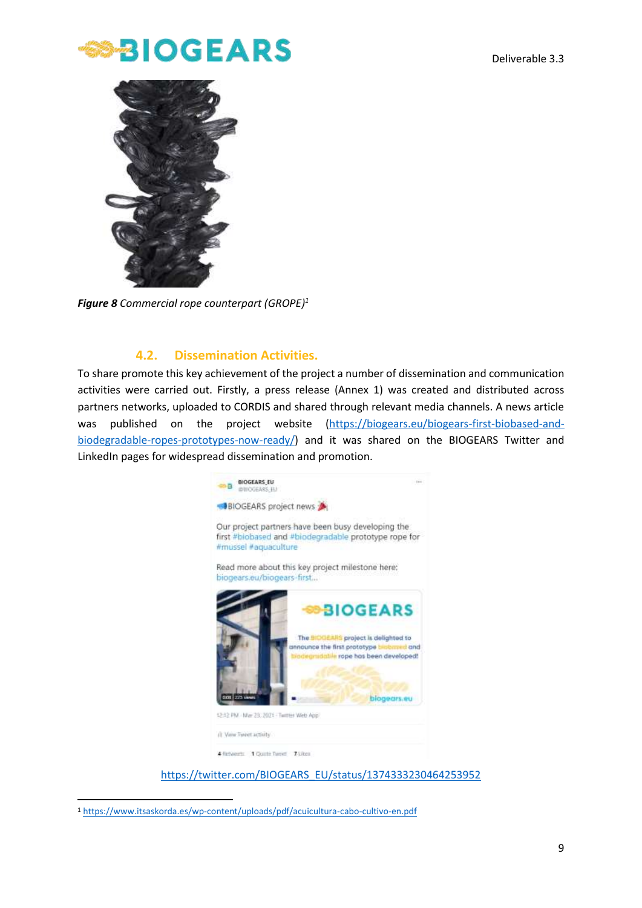



*Figure 8 Commercial rope counterpart (GROPE)<sup>1</sup>*

#### **4.2. Dissemination Activities.**

<span id="page-9-0"></span>To share promote this key achievement of the project a number of dissemination and communication activities were carried out. Firstly, a press release (Annex 1) was created and distributed across partners networks, uploaded to CORDIS and shared through relevant media channels. A news article was published on the project website [\(https://biogears.eu/biogears-first-biobased-and](https://biogears.eu/biogears-first-biobased-and-biodegradable-ropes-prototypes-now-ready/)[biodegradable-ropes-prototypes-now-ready/\)](https://biogears.eu/biogears-first-biobased-and-biodegradable-ropes-prototypes-now-ready/) and it was shared on the BIOGEARS Twitter and LinkedIn pages for widespread dissemination and promotion.



[https://twitter.com/BIOGEARS\\_EU/status/1374333230464253952](https://twitter.com/BIOGEARS_EU/status/1374333230464253952)

<sup>1</sup> <https://www.itsaskorda.es/wp-content/uploads/pdf/acuicultura-cabo-cultivo-en.pdf>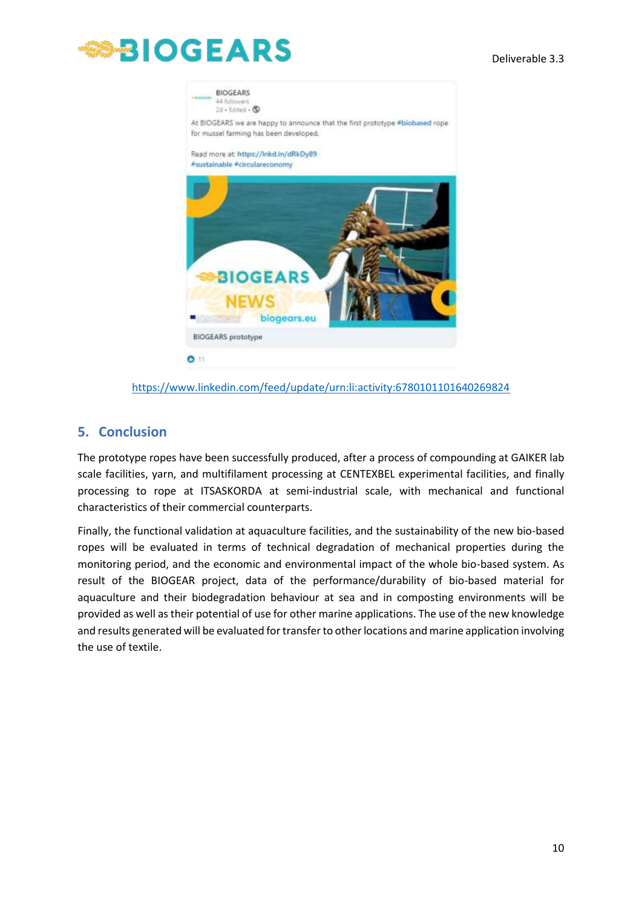#### Deliverable 3.3





<https://www.linkedin.com/feed/update/urn:li:activity:6780101101640269824>

#### <span id="page-10-0"></span>**5. Conclusion**

The prototype ropes have been successfully produced, after a process of compounding at GAIKER lab scale facilities, yarn, and multifilament processing at CENTEXBEL experimental facilities, and finally processing to rope at ITSASKORDA at semi-industrial scale, with mechanical and functional characteristics of their commercial counterparts.

Finally, the functional validation at aquaculture facilities, and the sustainability of the new bio-based ropes will be evaluated in terms of technical degradation of mechanical properties during the monitoring period, and the economic and environmental impact of the whole bio-based system. As result of the BIOGEAR project, data of the performance/durability of bio-based material for aquaculture and their biodegradation behaviour at sea and in composting environments will be provided as well as their potential of use for other marine applications. The use of the new knowledge and results generated will be evaluated for transfer to other locations and marine application involving the use of textile.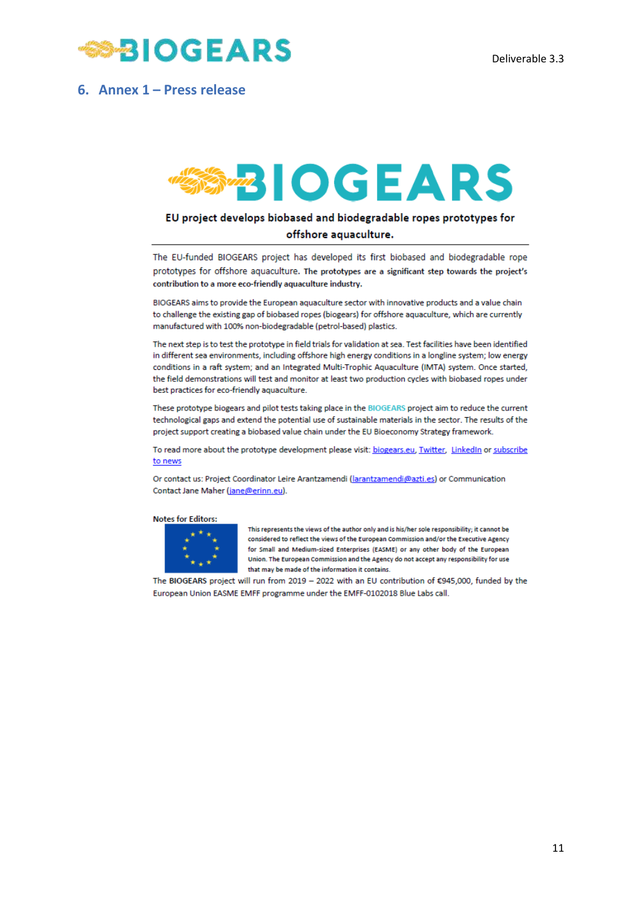

#### <span id="page-11-0"></span>**6. Annex 1 – Press release**

# **BIOGEARS**

#### EU project develops biobased and biodegradable ropes prototypes for

#### offshore aquaculture.

The EU-funded BIOGEARS project has developed its first biobased and biodegradable rope prototypes for offshore aquaculture. The prototypes are a significant step towards the project's contribution to a more eco-friendly aquaculture industry.

BIOGEARS aims to provide the European aquaculture sector with innovative products and a value chain to challenge the existing gap of biobased ropes (biogears) for offshore aquaculture, which are currently manufactured with 100% non-biodegradable (petrol-based) plastics.

The next step is to test the prototype in field trials for validation at sea. Test facilities have been identified in different sea environments, including offshore high energy conditions in a longline system; low energy conditions in a raft system; and an Integrated Multi-Trophic Aquaculture (IMTA) system. Once started, the field demonstrations will test and monitor at least two production cycles with biobased ropes under best practices for eco-friendly aquaculture.

These prototype biogears and pilot tests taking place in the BIOGEARS project aim to reduce the current technological gaps and extend the potential use of sustainable materials in the sector. The results of the project support creating a biobased value chain under the EU Bioeconomy Strategy framework.

To read more about the prototype development please visit: biogears.eu, Twitter, LinkedIn or subscribe to news

Or contact us: Project Coordinator Leire Arantzamendi (larantzamendi@azti.es) or Communication Contact Jane Maher (jane@erinn.eu).

#### **Notes for Editors:**



This represents the views of the author only and is his/her sole responsibility; it cannot be considered to reflect the views of the European Commission and/or the Executive Agency for Small and Medium-sized Enterprises (EASME) or any other body of the European Union. The European Commission and the Agency do not accept any responsibility for use that may be made of the information it contains.

The BIOGEARS project will run from 2019 - 2022 with an EU contribution of £945,000, funded by the European Union EASME EMFF programme under the EMFF-0102018 Blue Labs call.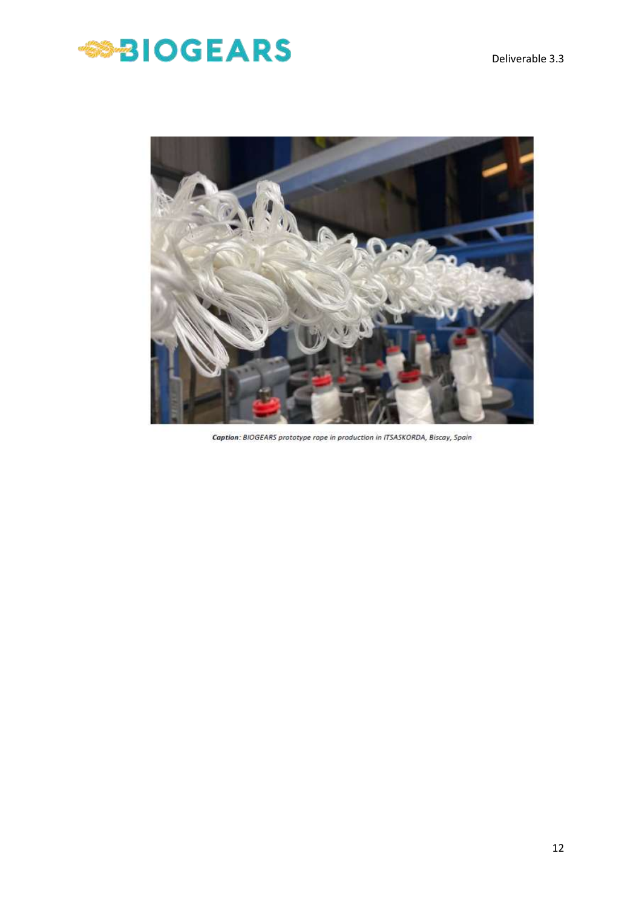



Caption: BIOGEARS prototype rope in production in ITSASKORDA, Biscay, Spain